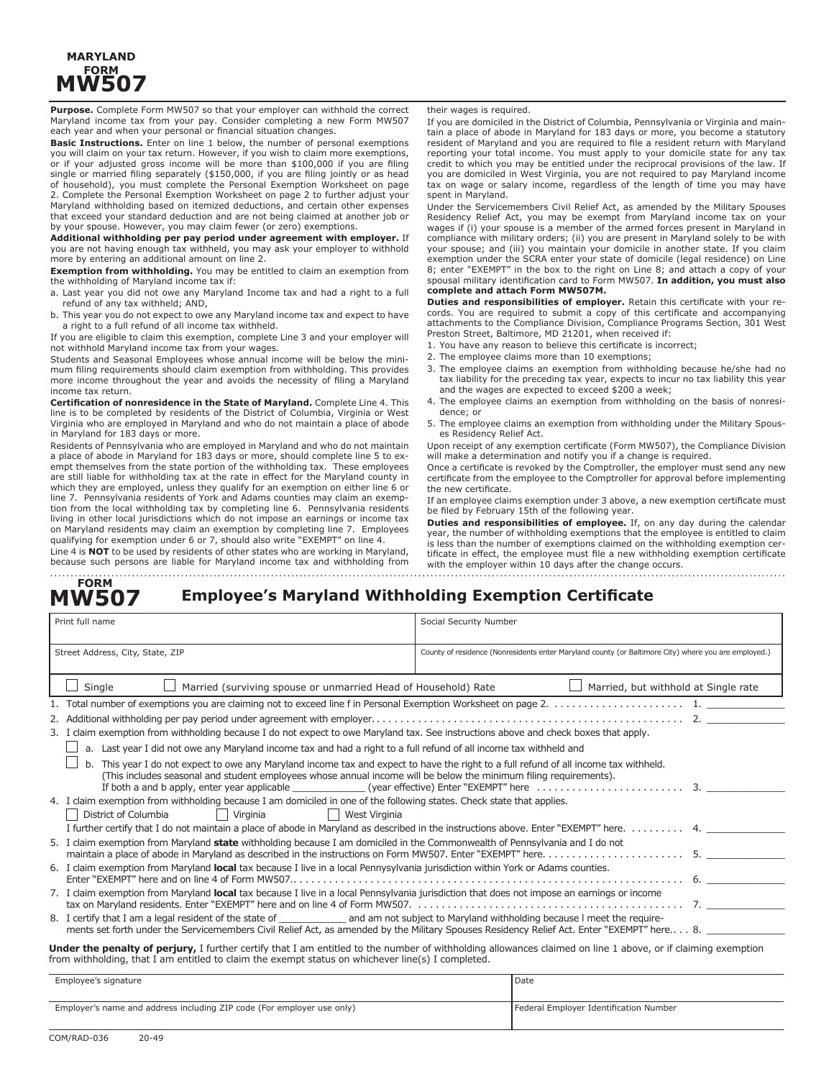## **MARYLAND FORM MW507**

**Purpose.** Complete Form MW507 so that your employer can withhold the correct Maryland income tax from your pay. Consider completing a new Form MW507 each year and when your personal or financial situation changes.

**Basic Instructions.** Enter on line 1 below, the number of personal exemptions you will claim on your tax return. However, if you wish to claim more exemptions, or if your adjusted gross income will be more than \$100,000 if you are filing single or married filing separately (\$150,000, if you are filing jointly or as head of household), you must complete the Personal Exemption Worksheet on page 2. Complete the Personal Exemption Worksheet on page 2 to further adjust your Maryland withholding based on itemized deductions, and certain other expenses that exceed your standard deduction and are not being claimed at another job or by your spouse. However, you may claim fewer (or zero) exemptions.

**Additional withholding per pay period under agreement with employer.** If you are not having enough tax withheld, you may ask your employer to withhold more by entering an additional amount on line 2.

**Exemption from withholding.** You may be entitled to claim an exemption from the withholding of Maryland income tax if:

a. Last year you did not owe any Maryland Income tax and had a right to a full refund of any tax withheld; AND,

b. This year you do not expect to owe any Maryland income tax and expect to have a right to a full refund of all income tax withheld.

If you are eligible to claim this exemption, complete Line 3 and your employer will not withhold Maryland income tax from your wages.

Students and Seasonal Employees whose annual income will be below the minimum filing requirements should claim exemption from withholding. This provides more income throughout the year and avoids the necessity of filing a Maryland income tax return.

**Certification of nonresidence in the State of Maryland.** Complete Line 4. This line is to be completed by residents of the District of Columbia, Virginia or West Virginia who are employed in Maryland and who do not maintain a place of abode in Maryland for 183 days or more.

Residents of Pennsylvania who are employed in Maryland and who do not maintain a place of abode in Maryland for 183 days or more, should complete line 5 to exempt themselves from the state portion of the withholding tax. These employees are still liable for withholding tax at the rate in effect for the Maryland county in which they are employed, unless they qualify for an exemption on either line 6 or line 7. Pennsylvania residents of York and Adams counties may claim an exemption from the local withholding tax by completing line 6. Pennsylvania residents living in other local jurisdictions which do not impose an earnings or income tax on Maryland residents may claim an exemption by completing line 7. Employees qualifying for exemption under 6 or 7, should also write "EXEMPT" on line 4. Line 4 is **NOT** to be used by residents of other states who are working in Maryland,

because such persons are liable for Maryland income tax and withholding from

their wages is required.

If you are domiciled in the District of Columbia, Pennsylvania or Virginia and maintain a place of abode in Maryland for 183 days or more, you become a statutory resident of Maryland and you are required to file a resident return with Maryland reporting your total income. You must apply to your domicile state for any tax credit to which you may be entitled under the reciprocal provisions of the law. If you are domiciled in West Virginia, you are not required to pay Maryland income tax on wage or salary income, regardless of the length of time you may have spent in Maryland.

Under the Servicemembers Civil Relief Act, as amended by the Military Spouses Residency Relief Act, you may be exempt from Maryland income tax on your wages if (i) your spouse is a member of the armed forces present in Maryland in compliance with military orders; (ii) you are present in Maryland solely to be with your spouse; and (iii) you maintain your domicile in another state. If you claim exemption under the SCRA enter your state of domicile (legal residence) on Line 8; enter "EXEMPT" in the box to the right on Line 8; and attach a copy of your spousal military identification card to Form MW507. **In addition, you must also complete and attach Form MW507M.**

**Duties and responsibilities of employer.** Retain this certificate with your records. You are required to submit a copy of this certificate and accompanying attachments to the Compliance Division, Compliance Programs Section, 301 West Preston Street, Baltimore, MD 21201, when received if:

- 1. You have any reason to believe this certificate is incorrect;
- 2. The employee claims more than 10 exemptions;
- 3. The employee claims an exemption from withholding because he/she had no tax liability for the preceding tax year, expects to incur no tax liability this year and the wages are expected to exceed \$200 a week;
- 4. The employee claims an exemption from withholding on the basis of nonresidence; or
- 5. The employee claims an exemption from withholding under the Military Spouses Residency Relief Act.

Upon receipt of any exemption certificate (Form MW507), the Compliance Division will make a determination and notify you if a change is required.

Once a certificate is revoked by the Comptroller, the employer must send any new certificate from the employee to the Comptroller for approval before implementing the new certificate.

If an employee claims exemption under 3 above, a new exemption certificate must be filed by February 15th of the following year.

**Duties and responsibilities of employee.** If, on any day during the calendar year, the number of withholding exemptions that the employee is entitled to claim is less than the number of exemptions claimed on the withholding exemption certificate in effect, the employee must file a new withholding exemption certificate with the employer within 10 days after the change occurs.

#### **Employee's Maryland Withholding Exemption Certificate FORM MW507**

| Print full name                                                                                                                                                                                                                                                                              | Social Security Number                                                                                                                                                                                                                                  |                                                                                                      |  |  |  |
|----------------------------------------------------------------------------------------------------------------------------------------------------------------------------------------------------------------------------------------------------------------------------------------------|---------------------------------------------------------------------------------------------------------------------------------------------------------------------------------------------------------------------------------------------------------|------------------------------------------------------------------------------------------------------|--|--|--|
| Street Address, City, State, ZIP                                                                                                                                                                                                                                                             |                                                                                                                                                                                                                                                         | County of residence (Nonresidents enter Maryland county (or Baltimore City) where you are employed.) |  |  |  |
| Single                                                                                                                                                                                                                                                                                       | Married (surviving spouse or unmarried Head of Household) Rate                                                                                                                                                                                          | Married, but withhold at Single rate                                                                 |  |  |  |
|                                                                                                                                                                                                                                                                                              |                                                                                                                                                                                                                                                         |                                                                                                      |  |  |  |
|                                                                                                                                                                                                                                                                                              |                                                                                                                                                                                                                                                         |                                                                                                      |  |  |  |
| 3. I claim exemption from withholding because I do not expect to owe Maryland tax. See instructions above and check boxes that apply.                                                                                                                                                        |                                                                                                                                                                                                                                                         |                                                                                                      |  |  |  |
|                                                                                                                                                                                                                                                                                              | a. Last year I did not owe any Maryland income tax and had a right to a full refund of all income tax withheld and                                                                                                                                      |                                                                                                      |  |  |  |
| b.                                                                                                                                                                                                                                                                                           | This year I do not expect to owe any Maryland income tax and expect to have the right to a full refund of all income tax withheld.<br>(This includes seasonal and student employees whose annual income will be below the minimum filing requirements). |                                                                                                      |  |  |  |
| 4. I claim exemption from withholding because I am domiciled in one of the following states. Check state that applies.                                                                                                                                                                       |                                                                                                                                                                                                                                                         |                                                                                                      |  |  |  |
| District of Columbia<br>Virginia<br>    West Virginia<br>$\perp$                                                                                                                                                                                                                             |                                                                                                                                                                                                                                                         |                                                                                                      |  |  |  |
| I further certify that I do not maintain a place of abode in Maryland as described in the instructions above. Enter "EXEMPT" here. 4.                                                                                                                                                        |                                                                                                                                                                                                                                                         |                                                                                                      |  |  |  |
| 5. I claim exemption from Maryland state withholding because I am domiciled in the Commonwealth of Pennsylvania and I do not                                                                                                                                                                 |                                                                                                                                                                                                                                                         |                                                                                                      |  |  |  |
| 6. I claim exemption from Maryland local tax because I live in a local Pennysylvania jurisdiction within York or Adams counties.                                                                                                                                                             |                                                                                                                                                                                                                                                         |                                                                                                      |  |  |  |
| 7. I claim exemption from Maryland local tax because I live in a local Pennsylvania jurisdiction that does not impose an earnings or income                                                                                                                                                  |                                                                                                                                                                                                                                                         |                                                                                                      |  |  |  |
| 8. I certify that I am a legal resident of the state of _______________ and am not subject to Maryland withholding because I meet the require-<br>ments set forth under the Servicemembers Civil Relief Act, as amended by the Military Spouses Residency Relief Act. Enter "EXEMPT" here 8. |                                                                                                                                                                                                                                                         |                                                                                                      |  |  |  |
| Under the penalty of perjury, I further certify that I am entitled to the number of withholding allowances claimed on line 1 above, or if claiming exemption                                                                                                                                 |                                                                                                                                                                                                                                                         |                                                                                                      |  |  |  |

from withholding, that I am entitled to claim the exempt status on whichever line(s) I completed.

| Employee's signature                                                   | Date                                   |
|------------------------------------------------------------------------|----------------------------------------|
|                                                                        |                                        |
| Employer's name and address including ZIP code (For employer use only) | Federal Employer Identification Number |
|                                                                        |                                        |